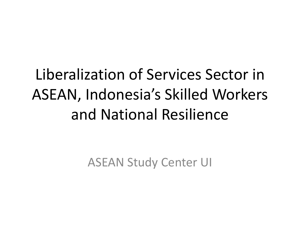## Liberalization of Services Sector in ASEAN, Indonesia's Skilled Workers and National Resilience

ASEAN Study Center UI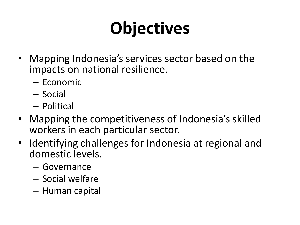# **Objectives**

- Mapping Indonesia's services sector based on the impacts on national resilience.
	- Economic
	- Social
	- Political
- Mapping the competitiveness of Indonesia's skilled workers in each particular sector.
- Identifying challenges for Indonesia at regional and domestic levels.
	- Governance
	- Social welfare
	- Human capital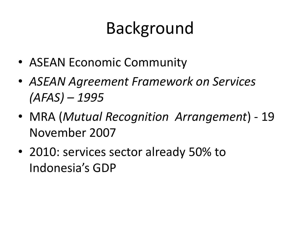## Background

- ASEAN Economic Community
- *ASEAN Agreement Framework on Services (AFAS) – 1995*
- MRA (*Mutual Recognition Arrangement*) 19 November 2007
- 2010: services sector already 50% to Indonesia's GDP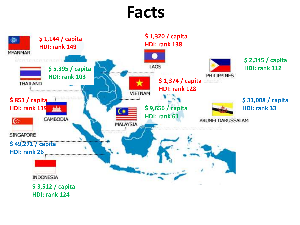#### **Facts**

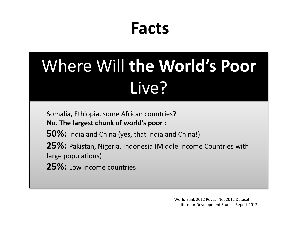### **Facts**

# Where Will **the World's Poor** Live?

Somalia, Ethiopia, some African countries? **No. The largest chunk of world's poor :**

**50%:** India and China (yes, that India and China!)

**25%:** Pakistan, Nigeria, Indonesia (Middle Income Countries with large populations)

**25%:** Low income countries

World Bank 2012 Povcal Net 2012 Dataset Institute for Development Studies Report 2012